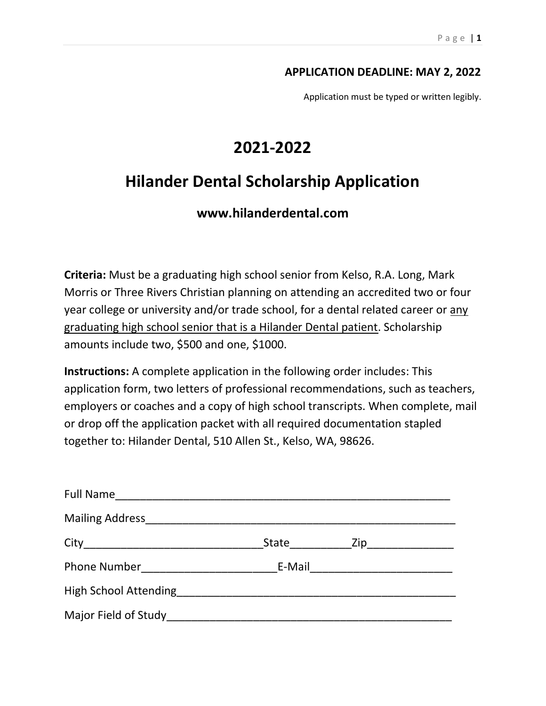#### APPLICATION DEADLINE: MAY 2, 2022

Application must be typed or written legibly.

# 2021-2022

# Hilander Dental Scholarship Application

### www.hilanderdental.com

Criteria: Must be a graduating high school senior from Kelso, R.A. Long, Mark Morris or Three Rivers Christian planning on attending an accredited two or four year college or university and/or trade school, for a dental related career or any graduating high school senior that is a Hilander Dental patient. Scholarship amounts include two, \$500 and one, \$1000.

Instructions: A complete application in the following order includes: This application form, two letters of professional recommendations, such as teachers, employers or coaches and a copy of high school transcripts. When complete, mail or drop off the application packet with all required documentation stapled together to: Hilander Dental, 510 Allen St., Kelso, WA, 98626.

|                                                                                                               | State Zip______________         |  |
|---------------------------------------------------------------------------------------------------------------|---------------------------------|--|
| Phone Number Phone 2014                                                                                       | E-Mail ________________________ |  |
| High School Attending Management and Contract and Contract of the Contract of the Contract of the Contract of |                                 |  |
|                                                                                                               |                                 |  |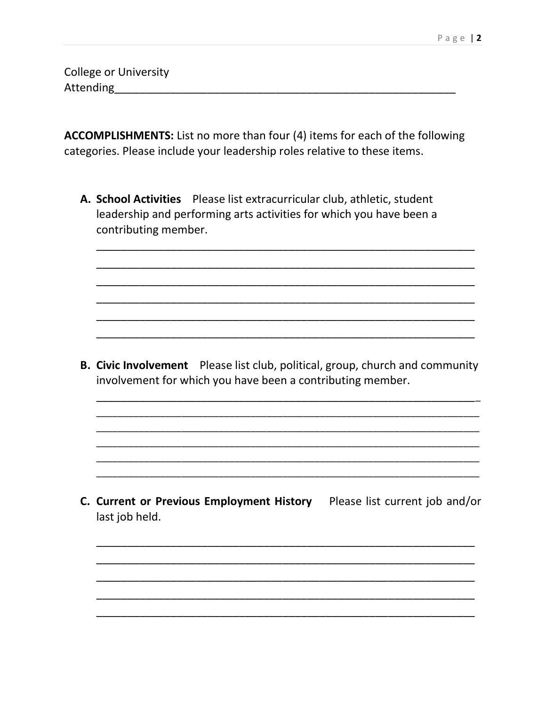**College or University** 

ACCOMPLISHMENTS: List no more than four (4) items for each of the following categories. Please include your leadership roles relative to these items.

A. School Activities Please list extracurricular club, athletic, student leadership and performing arts activities for which you have been a contributing member.

B. Civic Involvement Please list club, political, group, church and community involvement for which you have been a contributing member.

C. Current or Previous Employment History Please list current job and/or last job held.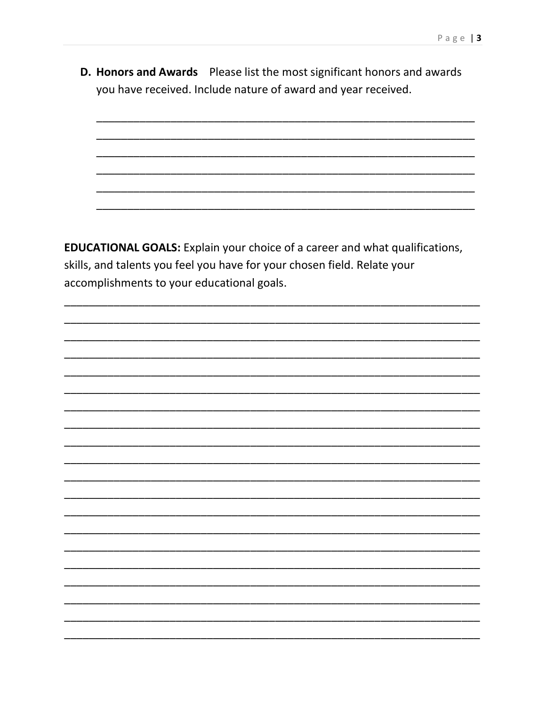D. Honors and Awards Please list the most significant honors and awards you have received. Include nature of award and year received.

**EDUCATIONAL GOALS:** Explain your choice of a career and what qualifications, skills, and talents you feel you have for your chosen field. Relate your accomplishments to your educational goals.